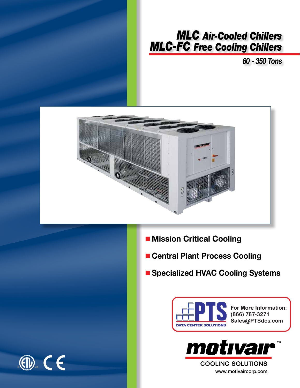

# *MLC Air-Cooled Chillers MLC-FC Free Cooling Chillers*

*60 - 350 Tons*



- **n** Mission Critical Cooling
- **n** Central Plant Process Cooling
- n **Specialized HVAC Cooling Systems**



**For More Information: (866) 787-3271 Sales@PTSdcs.com**



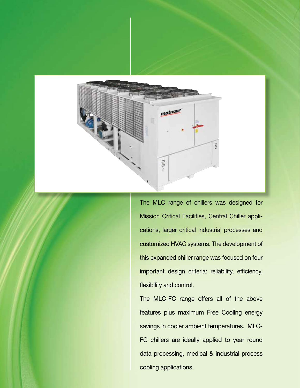

The MLC range of chillers was designed for Mission Critical Facilities, Central Chiller applications, larger critical industrial processes and customized HVAC systems. The development of this expanded chiller range was focused on four important design criteria: reliability, efficiency, flexibility and control.

The MLC-FC range offers all of the above features plus maximum Free Cooling energy savings in cooler ambient temperatures. MLC-FC chillers are ideally applied to year round data processing, medical & industrial process cooling applications.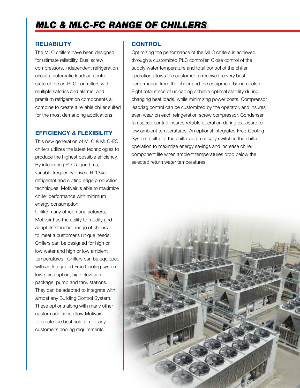# *MLC & MLC-FC range of Chillers*

#### **Reliability**

The MLC chillers have been designed for ultimate reliability. Dual screw compressors, independent refrigeration circuits, automatic lead/lag control, state of the art PLC controllers with multiple safeties and alarms, and premium refrigeration components all combine to create a reliable chiller suited for the most demanding applications.

### **Efficiency & Flexibility**

This new generation of MLC & MLC-FC chillers utilizes the latest technologies to produce the highest possible efficiency. By integrating PLC algorithms, variable frequency drives, R-134a refrigerant and cutting edge production techniques, Motivair is able to maximize chiller performance with minimum energy consumption.

Unlike many other manufacturers, Motivair has the ability to modify and adapt its standard range of chillers to meet a customer's unique needs. Chillers can be designed for high or low water and high or low ambient temperatures. Chillers can be equipped with an Integrated Free Cooling system, low noise option, high elevation package, pump and tank stations. They can be adapted to integrate with almost any Building Control System. These options along with many other custom additions allow Motivair to create the best solution for any customer's cooling requirements.

# **control**

Optimizing the performance of the MLC chillers is achieved through a customized PLC controller. Close control of the supply water temperature and total control of the chiller operation allows the customer to receive the very best performance from the chiller and the equipment being cooled. Eight total steps of unloading achieve optimal stability during changing heat loads, while minimizing power costs. Compressor lead/lag control can be customized by the operator, and insures even wear on each refrigeration screw compressor. Condenser fan speed control insures reliable operation during exposure to low ambient temperatures. An optional Integrated Free-Cooling System built into the chiller automatically switches the chiller operation to maximize energy savings and increase chiller component life when ambient temperatures drop below the selected return water temperatures.

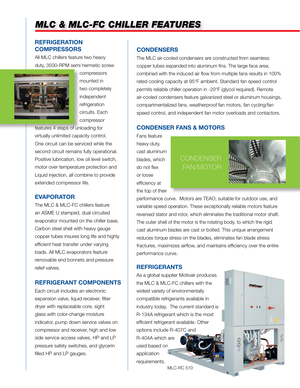# *Mlc & MLC-FC Chiller features*

### **Refrigeration Compressors**

All MLC chillers feature two heavy duty, 3500-RPM semi hermetic screw



compressors mounted in two completely independent refrigeration circuits. Each compressor

features 4 steps of unloading for virtually unlimited capacity control. One circuit can be serviced while the second circuit remains fully operational. Positive lubrication, low oil level switch, motor over temperature protection and Liquid injection, all combine to provide extended compressor life.

### **Evaporator**

The MLC & MLC-FC chillers feature an ASME U stamped, dual circuited evaporator mounted on the chiller base. Carbon steel shell with heavy gauge copper tubes insures long life and highly efficient heat transfer under varying loads. All MLC evaporators feature removable end bonnets and pressure relief valves.

### **Refrigerant Components**

Each circuit includes an electronic expansion valve, liquid receiver, filter dryer with replaceable core, sight glass with color-change moisture indicator, pump down service valves on compressor and receiver, high and low side service access valves, HP and LP pressure safety switches, and glycerin filled HP and LP gauges.

#### **Condensers**

The MLC air-cooled condensers are constructed from seamless copper tubes expanded into aluminum fins. The large face area, combined with the induced air flow from multiple fans results in 100% rated cooling capacity at 95°F ambient. Standard fan speed control permits reliable chiller operation in -20°F (glycol required). Remote air-cooled condensers feature galvanized steel or aluminum housings, compartmentalized fans, weatherproof fan motors, fan cycling/fan speed control, and independent fan motor overloads and contactors.

### **Condenser Fans & Motors**

Fans feature heavy-duty, cast aluminum blades, which do not flex or loose efficiency at the top of their

# **CONDENSER** fan/motor



motrva

CO

performance curve. Motors are TEAO; suitable for outdoor use, and variable speed operation. These exceptionally reliable motors feature reversed stator and rotor, which eliminates the traditional motor shaft. The outer shell of the motor is the rotating body, to which the rigid cast aluminum blades are cast or bolted. This unique arrangement reduces torque stress on the blades, eliminates fan blade stress fractures, maximizes airflow, and maintains efficiency over the entire performance curve.

#### **Refrigerants**

As a global supplier Motivair produces the MLC & MLC-FC chillers with the widest variety of environmentally compatible refrigerants available in industry today. The current standard is R-134A refrigerant which is the most efficient refrigerant available. Other options include R-407C and R-404A which are used based on application requirements.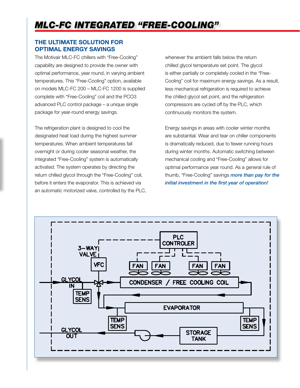# **The Ultimate Solution For Optimal Energy Savings**

The Motivair MLC-FC chillers with "Free-Cooling" capability are designed to provide the owner with optimal performance, year round, in varying ambient temperatures. This "Free-Cooling" option, available on models MLC-FC 200 – MLC-FC 1200 is supplied complete with "Free-Cooling" coil and the PCO3 advanced PLC control package – a unique single package for year-round energy savings.

The refrigeration plant is designed to cool the designated heat load during the highest summer temperatures. When ambient temperatures fall overnight or during cooler seasonal weather, the integrated "Free-Cooling" system is automatically activated. The system operates by directing the return chilled glycol through the "Free-Cooling" coil, before it enters the evaporator. This is achieved via an automatic motorized valve, controlled by the PLC, whenever the ambient falls below the return chilled glycol temperature set point. The glycol is either partially or completely cooled in the "Free-Cooling" coil for maximum energy savings. As a result, less mechanical refrigeration is required to achieve the chilled glycol set point, and the refrigeration compressors are cycled off by the PLC, which continuously monitors the system.

Energy savings in areas with cooler winter months are substantial. Wear and tear on chiller components is dramatically reduced, due to fewer running hours during winter months. Automatic switching between mechanical cooling and "Free-Cooling" allows for optimal performance year round. As a general rule of thumb, "Free-Cooling" savings *more than pay for the initial investment in the first year of operation!*

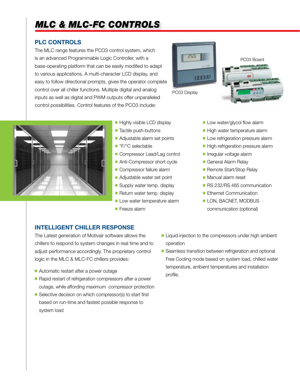# *MLC & MLC-FC controls*

# **PLC Controls**

The MLC range features the PCO3 control system, which is an advanced Programmable Logic Controller, with a base-operating platform that can be easily modified to adapt to various applications. A multi-character LCD display, and easy to follow directional prompts, gives the operator complete control over all chiller functions. Multiple digital and analog inputs as well as digital and PWM outputs offer unparalleled control possibilities. Control features of the PCO3 include:



PC03 Display





- **Highly visible LCD display**
- **n** Tactile push-buttons
- **n** Adjustable alarm set points
- °F/°C selectable
- **n** Compressor Lead/Lag control
- Anti-Compressor short cycle
- **Compressor failure alarm**
- **Adjustable water set point**
- **n** Supply water temp. display
- Return water temp. display
- **Low water temperature alarm**
- **Freeze alarm**
- $\blacksquare$  Low water/glycol flow alarm
- $\blacksquare$  High water temperature alarm
- **Low refrigeration pressure alarm**
- High refrigeration pressure alarm
- **n** Irregular voltage alarm
- General Alarm Relay
- Remote Start/Stop Relay
- **n** Manual alarm reset
- **RS 232/RS 485 communication**
- Ethernet Communication
- **LON, BACNET, MODBUS** communication (optional)

# **Intelligent Chiller Response**

The Latest generation of Motivair software allows the chillers to respond to system changes in real time and to adjust performance accordingly. The proprietary control logic in the MLC & MLC-FC chillers provides:

- Automatic restart after a power outage
- $\blacksquare$  Rapid restart of refrigeration compressors after a power outage, while affording maximum compressor protection
- Selective decision on which compressor(s) to start first based on run-time and fastest possible response to system load
- Liquid injection to the compressors under high ambient operation
- Seamless transition between refrigeration and optional Free Cooling mode based on system load, chilled water temperature, ambient temperatures and installation profile.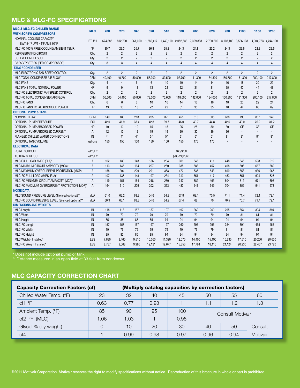# **MLC & MLC-FC specifications**

| <b>MLC &amp; MLC-FC CHILLER RANGE</b><br><b>WITH SCREW COMPRESSORS</b> | <b>MLC</b>     | 200            | 270            | 340            | 390            | 510                                        | 600            | 660            | 820            | 930            | 1100                | 1150                | 1200           |
|------------------------------------------------------------------------|----------------|----------------|----------------|----------------|----------------|--------------------------------------------|----------------|----------------|----------------|----------------|---------------------|---------------------|----------------|
| NOMINAL COOLING CAPACITY                                               | BTU/H          |                |                |                |                |                                            |                |                |                |                | 3.108.183 3.566.133 | 4,004,733 4,244,100 |                |
| EWT 54°F LWT 44°F AMB 95°F                                             |                | 674,383        | 812,700        | 961.050        |                | 1,286,417  1,449,100  2,052,533  2,329,883 |                |                | 2,730,500      |                |                     |                     |                |
| MLC-FC 100% FREE COOLING AMBIENT TEMP.                                 | °F             | 30.7           | 29.3           | 25.7           | 26.8           | 25.2                                       | 24.3           | 24.8           | 23.2           | 24.3           | 22.6                | 22.8                | 22.6           |
| REFRIGERATING CIRCUIT                                                  | Qty.           | $\overline{2}$ | $\overline{2}$ | $\overline{2}$ | $\overline{2}$ | $\overline{2}$                             | $\overline{2}$ | $\overline{2}$ | $\overline{2}$ | $\overline{2}$ | $\overline{2}$      | $\overline{2}$      | $\overline{2}$ |
| <b>SCREW COMPRESSOR</b>                                                | Qty.           | $\overline{2}$ | $\overline{2}$ | $\overline{2}$ | $\overline{2}$ | $\overline{2}$                             | $\overline{2}$ | $\overline{2}$ | $\overline{2}$ | $\overline{2}$ | $\overline{2}$      | $\overline{2}$      | $\overline{2}$ |
| CAPACITY STEPS (PER COMPRESSOR)                                        | Qty.           | 3              | 3              | $\overline{4}$ | $\overline{4}$ | $\overline{4}$                             | $\overline{4}$ | $\overline{4}$ | $\overline{4}$ | $\overline{4}$ | $\overline{4}$      | $\overline{4}$      | $\overline{4}$ |
| <b>FANS / CONDENSER</b>                                                |                |                |                |                |                |                                            |                |                |                |                |                     |                     |                |
| MLC ELECTRONIC FAN SPEED CONTROL                                       | Qty.           | $\overline{2}$ | $\overline{2}$ | $\overline{2}$ | $\overline{2}$ | $\overline{2}$                             | $\overline{2}$ | $\overline{2}$ | $\overline{2}$ | $\overline{2}$ | $\overline{2}$      | $\overline{2}$      | $\overline{2}$ |
| MLC TOTAL CONDENSER AIR FLOW                                           | <b>CFM</b>     | 40.100         | 40,700         | 50,800         | 58,300         | 89,500                                     | 97,700         | 141,300        | 134,300        | 150,700        | 181,300             | 200,100             | 217,800        |
| <b>MLC FANS</b>                                                        | Qty.           | $\overline{4}$ | $\overline{4}$ | 6              | 6              | 10                                         | 10             | 14             | 14             | 16             | 18                  | 20                  | 22             |
| MLC FANS TOTAL NOMINAL POWER                                           | <b>HP</b>      | 9              | 9              | 13             | 13             | 22                                         | 22             | 31             | 31             | 35             | 40                  | 44                  | 48             |
| MLC-FC ELECTRONIC FAN SPEED CONTROL                                    | Qty.           | $\overline{2}$ | $\overline{2}$ | $\overline{2}$ | $\overline{2}$ | $\overline{2}$                             | $\overline{2}$ | $\overline{2}$ | $\overline{2}$ | $\overline{2}$ | $\overline{2}$      | $\overline{2}$      | $\overline{2}$ |
| MLC-FC TOTAL CONDENSER AIR FLOW                                        | <b>CFM</b>     | 56.600         | 54.400         | 50.800         | 78,000         | 75,600                                     | 118.000        | 142.000        | 134.000        | 150,800        | 181.300             | 200.100             | 217.800        |
| <b>MLC-FC FANS</b>                                                     | Qty.           | 6              | $6\phantom{1}$ | 6              | 10             | 10                                         | 14             | 16             | 16             | 18             | 20                  | 22                  | 24             |
| MLC-FC FANS TOTAL ABSORBED POWER                                       | <b>HP</b>      | 13             | 13             | 13             | 22             | 22                                         | 31             | 35             | 35             | 40             | 44                  | 63                  | 69             |
| <b>OPTIONAL PUMP &amp; TANK</b>                                        |                |                |                |                |                |                                            |                |                |                |                |                     |                     |                |
| <b>NOMINAL FLOW</b>                                                    | <b>GPM</b>     | 149            | 180            | 213            | 285            | 321                                        | 455            | 516            | 605            | 688            | 790                 | 887                 | 940            |
| OPTIONAL PUMP PRESSURE                                                 | PSI            | 42.0           | 41.9           | 38.4           | 42.8           | 39.7                                       | 46.0           | 40.7           | 44.8           | 42.6           | 49.0                | 26.2                | 31.2           |
| OPTIONAL PUMP ABSORBED POWER                                           | <b>HP</b>      | 10             | 10             | 10             | 15             | 15                                         | 25             | 25             | 30             | 30             | <b>CF</b>           | CF                  | <b>CF</b>      |
| OPTIONAL PUMP ABSORBED CURRENT                                         | $\overline{A}$ | 12             | 12             | 12             | 19             | 19                                         | 30             | 30             | 36             | 36             |                     |                     |                |
| FLANGED CHILLED WATER CONNECTIONS                                      | IN             | 4"             | 4"             | 4"             | 5"             | 5"                                         | 6"             | 6"             | 6"             | 8"             | 8"                  | 8"                  | 8"             |
| OPTIONAL TANK VOLUME                                                   | gallons        | 150            | 150            | 150            | 150            | 150                                        | 150            | 175            | 175            | $\overline{a}$ |                     |                     |                |
| <b>ELECTRICAL DATA</b>                                                 |                |                |                |                |                |                                            |                |                |                |                |                     |                     |                |
| POWER CIRCUIT                                                          | V/Ph/Hz        |                |                |                |                |                                            | 460/3/60       |                |                |                |                     |                     |                |
| <b>AUXILIARY CIRCUIT</b>                                               | V/Ph/Hz        |                |                |                |                |                                            | (230-24)/1/60  |                |                |                |                     |                     |                |
| MLC FULL LOAD AMPS (FLA)*                                              | A              | 102            | 130            | 148            | 186            | 234                                        | 301            | 345            | 411            | 448            | 545                 | 598                 | 619            |
| MLC MINIMUM CIRCUIT AMPACITY (MCA)*                                    | $\overline{A}$ | 113            | 145            | 164            | 207            | 260                                        | 335            | 383            | 457            | 498            | 606                 | 667                 | 689            |
| MLC MAXIMUM OVERCURRENT PROTECTION (MOP)*                              | $\overline{A}$ | 158            | 204            | 229            | 291            | 363                                        | 472            | 535            | 643            | 699            | 853                 | 936                 | 967            |
| MLC-FC FULL LOAD AMPS (FLA)*                                           | $\overline{A}$ | 107            | 136            | 148            | 197            | 234                                        | 313            | 351            | 417            | 453            | 551                 | 604                 | 625            |
| MLC-FC MINIMUM CIRCUIT AMPACITY (MCA)*                                 | $\overline{A}$ | 119            | 151            | 164            | 218            | 260                                        | 347            | 389            | 463            | 504            | 612                 | 671                 | 695            |
| MLC-FC MAXIMUM OVERCURRENT PROTECTION (MOP)*                           | $\overline{A}$ | 164            | 210            | 229            | 302            | 363                                        | 483            | 541            | 649            | 704            | 859                 | 941                 | 973            |
| <b>NOISE DATA</b>                                                      |                |                |                |                |                |                                            |                |                |                |                |                     |                     |                |
| MLC SOUND PRESSURE LEVEL (Silenced optional)**                         | dbA            | 61.0           | 63.2           | 63.3           | 64.6           | 64.9                                       | 67.8           | 69.1           | 70.5           | 71.1           | 71.4                | 72.1                | 72.1           |
| MLC-FC SOUND PRESSIRE LEVEL (Silenced optional)**                      | dbA            | 60.9           | 63.1           | 63.3           | 64.6           | 64.9                                       | 67.4           | 68             | 70             | 70.5           | 70.7                | 71.4                | 72.1           |
| <b>DIMENSIONS AND WEIGHTS</b>                                          |                |                |                |                |                |                                            |                |                |                |                |                     |                     |                |
| <b>MLC</b> Length                                                      | IN             | 118            | 118            | 157            | 157            | 197                                        | 197            | 260            | 260            | 295            | 354                 | 394                 | 394            |
| <b>MLC Width</b>                                                       | IN             | 79             | 79             | 79             | 79             | 79                                         | 79             | 79             | 79             | 79             | 81                  | 81                  | 81             |
| <b>MLC Height</b>                                                      | IN             | 85             | 85             | 85             | 85             | 94                                         | 94             | 94             | 94             | 94             | 94                  | 94                  | 94             |
| MLC-FC Length                                                          | IN             | 157            | 157            | 157            | 197            | 197                                        | 260            | 295            | 295            | 354            | 394                 | 455                 | 455            |
| <b>MLC-FC Width</b>                                                    | IN             | 79             | 79             | 79             | 79             | 79                                         | 79             | 79             | 79             | 81             | 81                  | 81                  | 81             |
| <b>MLC-FC Height</b>                                                   | IN             | 85             | 85             | 85             | 85             | 94                                         | 94             | 94             | 94             | 94             | 94                  | 94                  | 94             |
| MLC Weight - Installed*                                                | LBS            | 7.880          | 8.460          | 9,510          | 10.060         | 11,320                                     | 12.570         | 14,400         | 15,190         | 16.230         | 17.510              | 20.200              | 20,650         |
| MLC-FC Weight Installed*                                               | LBS            | 8.787          | 9.568          | 9.986          | 12.121         | 12.677                                     | 15.856         | 17.794         | 18.116         | 21.124         | 20.930              | 22,467              | 23.720         |

\* Does not include optional pump or tank

\*\* Distance measured in an open field at 33 feet from condenser

# **MLC capacity correction chart**

| <b>Capacity Correction Factors (cf)</b> | (Multiply catalog capacities by correction factors) |      |      |      |                  |      |          |  |  |
|-----------------------------------------|-----------------------------------------------------|------|------|------|------------------|------|----------|--|--|
| Chilled Water Temp. (°F)                | 23                                                  | 32   | 40   | 45   | 50               | 55   | 60       |  |  |
| cf1 °F                                  | 0.63                                                | 0.77 | 0.93 |      |                  | 1.2  | 1.3      |  |  |
| Ambient Temp. (°F)                      | 85                                                  | 90   | 95   | 100  | Consult Motivair |      |          |  |  |
| $cf2$ °F (MLC)                          | 1.06                                                | 1.03 |      | 0.96 |                  |      |          |  |  |
| Glycol % (by weight)                    |                                                     | 10   | 20   | 30   | 40               | 50   | Consult  |  |  |
| Cf4                                     |                                                     | 0.99 | 0.98 | 0.97 | 0.96             | 0.94 | Motivair |  |  |